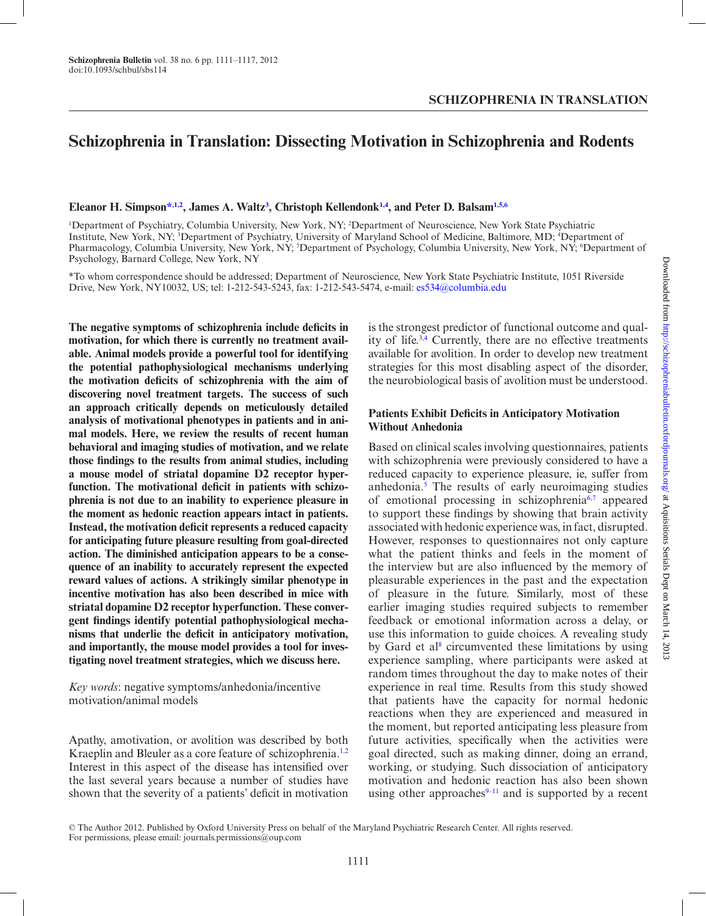# **Schizophrenia in Translation: Dissecting Motivation in Schizophrenia and Rodents**

**Eleanor H. Simpson\*,1,2 , James A. Waltz3 , Christoph Kellendonk1,4 , and Peter D. Balsam1,5,6**

1 Department of Psychiatry, Columbia University, New York, NY; 2 Department of Neuroscience, New York State Psychiatric Institute, New York, NY; <sup>3</sup>Department of Psychiatry, University of Maryland School of Medicine, Baltimore, MD; <sup>4</sup>Department of Pharmacology, Columbia University, New York, NY; <sup>5</sup>Department of Psychology, Columbia University, New York, NY; <sup>6</sup>Department of Psychology, Barnard College, New York, NY

\*To whom correspondence should be addressed; Department of Neuroscience, New York State Psychiatric Institute, 1051 Riverside Drive, New York, NY10032, US; tel: 1-212-543-5243, fax: 1-212-543-5474, e-mail: [es534@columbia.edu](mailto:es534@columbia.edu)

**The negative symptoms of schizophrenia include deficits in motivation, for which there is currently no treatment available. Animal models provide a powerful tool for identifying the potential pathophysiological mechanisms underlying the motivation deficits of schizophrenia with the aim of discovering novel treatment targets. The success of such an approach critically depends on meticulously detailed analysis of motivational phenotypes in patients and in animal models. Here, we review the results of recent human behavioral and imaging studies of motivation, and we relate those findings to the results from animal studies, including a mouse model of striatal dopamine D2 receptor hyperfunction. The motivational deficit in patients with schizophrenia is not due to an inability to experience pleasure in the moment as hedonic reaction appears intact in patients. Instead, the motivation deficit represents a reduced capacity for anticipating future pleasure resulting from goal-directed action. The diminished anticipation appears to be a consequence of an inability to accurately represent the expected reward values of actions. A strikingly similar phenotype in incentive motivation has also been described in mice with striatal dopamine D2 receptor hyperfunction. These convergent findings identify potential pathophysiological mechanisms that underlie the deficit in anticipatory motivation, and importantly, the mouse model provides a tool for investigating novel treatment strategies, which we discuss here.**

*Key words*: negative symptoms/anhedonia/incentive motivation/animal models

Apathy, amotivation, or avolition was described by both Kraeplin and Bleuler as a core feature of schizophrenia.<sup>1,2</sup> Interest in this aspect of the disease has intensified over the last several years because a number of studies have shown that the severity of a patients' deficit in motivation is the strongest predictor of functional outcome and quality of life.3,4 Currently, there are no effective treatments available for avolition. In order to develop new treatment strategies for this most disabling aspect of the disorder, the neurobiological basis of avolition must be understood.

### **Patients Exhibit Deficits in Anticipatory Motivation Without Anhedonia**

Based on clinical scales involving questionnaires, patients with schizophrenia were previously considered to have a reduced capacity to experience pleasure, ie, suffer from anhedonia.5 The results of early neuroimaging studies of emotional processing in schizophrenia<sup>6,7</sup> appeared to support these findings by showing that brain activity associated with hedonic experience was, in fact, disrupted. However, responses to questionnaires not only capture what the patient thinks and feels in the moment of the interview but are also influenced by the memory of pleasurable experiences in the past and the expectation of pleasure in the future. Similarly, most of these earlier imaging studies required subjects to remember feedback or emotional information across a delay, or use this information to guide choices. A revealing study by Gard et al<sup>8</sup> circumvented these limitations by using experience sampling, where participants were asked at random times throughout the day to make notes of their experience in real time. Results from this study showed that patients have the capacity for normal hedonic reactions when they are experienced and measured in the moment, but reported anticipating less pleasure from future activities, specifically when the activities were goal directed, such as making dinner, doing an errand, working, or studying. Such dissociation of anticipatory motivation and hedonic reaction has also been shown using other approaches $9-11$  and is supported by a recent

<sup>©</sup> The Author 2012. Published by Oxford University Press on behalf of the Maryland Psychiatric Research Center. All rights reserved. For permissions, please email: journals.permissions@oup.com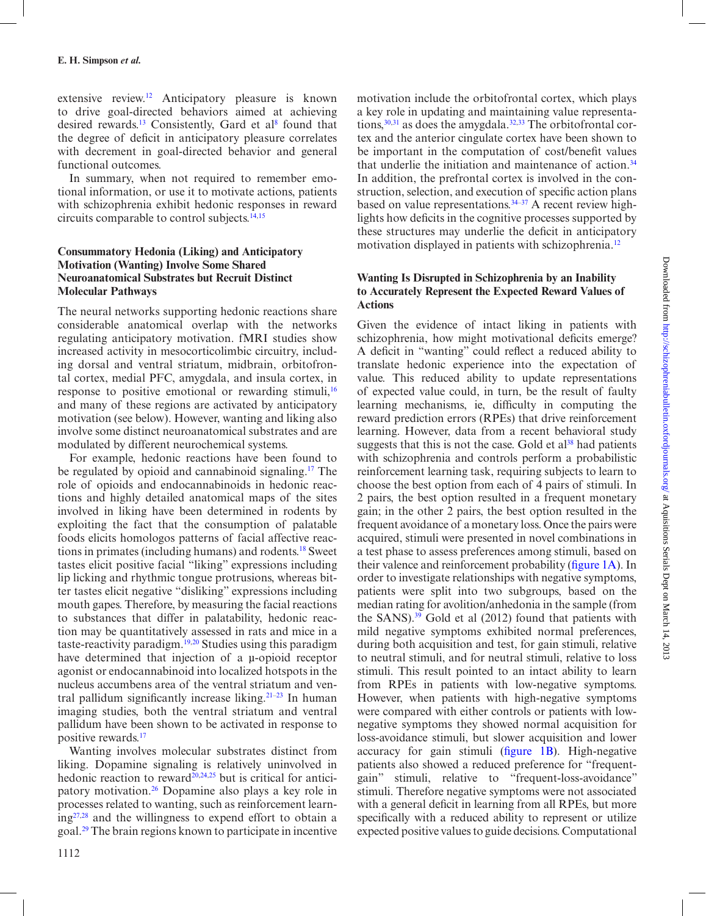extensive review.12 Anticipatory pleasure is known to drive goal-directed behaviors aimed at achieving desired rewards.<sup>13</sup> Consistently, Gard et al<sup>8</sup> found that the degree of deficit in anticipatory pleasure correlates with decrement in goal-directed behavior and general functional outcomes.

In summary, when not required to remember emotional information, or use it to motivate actions, patients with schizophrenia exhibit hedonic responses in reward circuits comparable to control subjects.14,15

### **Consummatory Hedonia (Liking) and Anticipatory Motivation (Wanting) Involve Some Shared Neuroanatomical Substrates but Recruit Distinct Molecular Pathways**

The neural networks supporting hedonic reactions share considerable anatomical overlap with the networks regulating anticipatory motivation. fMRI studies show increased activity in mesocorticolimbic circuitry, including dorsal and ventral striatum, midbrain, orbitofrontal cortex, medial PFC, amygdala, and insula cortex, in response to positive emotional or rewarding stimuli, $16$ and many of these regions are activated by anticipatory motivation (see below). However, wanting and liking also involve some distinct neuroanatomical substrates and are modulated by different neurochemical systems.

For example, hedonic reactions have been found to be regulated by opioid and cannabinoid signaling.<sup>17</sup> The role of opioids and endocannabinoids in hedonic reactions and highly detailed anatomical maps of the sites involved in liking have been determined in rodents by exploiting the fact that the consumption of palatable foods elicits homologos patterns of facial affective reactions in primates (including humans) and rodents.18 Sweet tastes elicit positive facial "liking" expressions including lip licking and rhythmic tongue protrusions, whereas bitter tastes elicit negative "disliking" expressions including mouth gapes. Therefore, by measuring the facial reactions to substances that differ in palatability, hedonic reaction may be quantitatively assessed in rats and mice in a taste-reactivity paradigm. $19,20$  Studies using this paradigm have determined that injection of a *µ*-opioid receptor agonist or endocannabinoid into localized hotspots in the nucleus accumbens area of the ventral striatum and ventral pallidum significantly increase liking. $21-23$  In human imaging studies, both the ventral striatum and ventral pallidum have been shown to be activated in response to positive rewards.17

Wanting involves molecular substrates distinct from liking. Dopamine signaling is relatively uninvolved in hedonic reaction to reward<sup>20,24,25</sup> but is critical for anticipatory motivation.26 Dopamine also plays a key role in processes related to wanting, such as reinforcement learning27,28 and the willingness to expend effort to obtain a goal.29 The brain regions known to participate in incentive

motivation include the orbitofrontal cortex, which plays a key role in updating and maintaining value representations, $30,31$  as does the amygdala. $32,33$  The orbitofrontal cortex and the anterior cingulate cortex have been shown to be important in the computation of cost/benefit values that underlie the initiation and maintenance of action.<sup>34</sup> In addition, the prefrontal cortex is involved in the construction, selection, and execution of specific action plans based on value representations.<sup>34-37</sup> A recent review highlights how deficits in the cognitive processes supported by these structures may underlie the deficit in anticipatory motivation displayed in patients with schizophrenia.12

## **Wanting Is Disrupted in Schizophrenia by an Inability to Accurately Represent the Expected Reward Values of Actions**

Given the evidence of intact liking in patients with schizophrenia, how might motivational deficits emerge? A deficit in "wanting" could reflect a reduced ability to translate hedonic experience into the expectation of value. This reduced ability to update representations of expected value could, in turn, be the result of faulty learning mechanisms, ie, difficulty in computing the reward prediction errors (RPEs) that drive reinforcement learning. However, data from a recent behavioral study suggests that this is not the case. Gold et  $al^{38}$  had patients with schizophrenia and controls perform a probabilistic reinforcement learning task, requiring subjects to learn to choose the best option from each of 4 pairs of stimuli. In 2 pairs, the best option resulted in a frequent monetary gain; in the other 2 pairs, the best option resulted in the frequent avoidance of a monetary loss. Once the pairs were acquired, stimuli were presented in novel combinations in a test phase to assess preferences among stimuli, based on their valence and reinforcement probability (figure 1A). In order to investigate relationships with negative symptoms, patients were split into two subgroups, based on the median rating for avolition/anhedonia in the sample (from the SANS). $39$  Gold et al (2012) found that patients with mild negative symptoms exhibited normal preferences, during both acquisition and test, for gain stimuli, relative to neutral stimuli, and for neutral stimuli, relative to loss stimuli. This result pointed to an intact ability to learn from RPEs in patients with low-negative symptoms. However, when patients with high-negative symptoms were compared with either controls or patients with lownegative symptoms they showed normal acquisition for loss-avoidance stimuli, but slower acquisition and lower accuracy for gain stimuli (figure 1B). High-negative patients also showed a reduced preference for "frequentgain" stimuli, relative to "frequent-loss-avoidance" stimuli. Therefore negative symptoms were not associated with a general deficit in learning from all RPEs, but more specifically with a reduced ability to represent or utilize expected positive values to guide decisions. Computational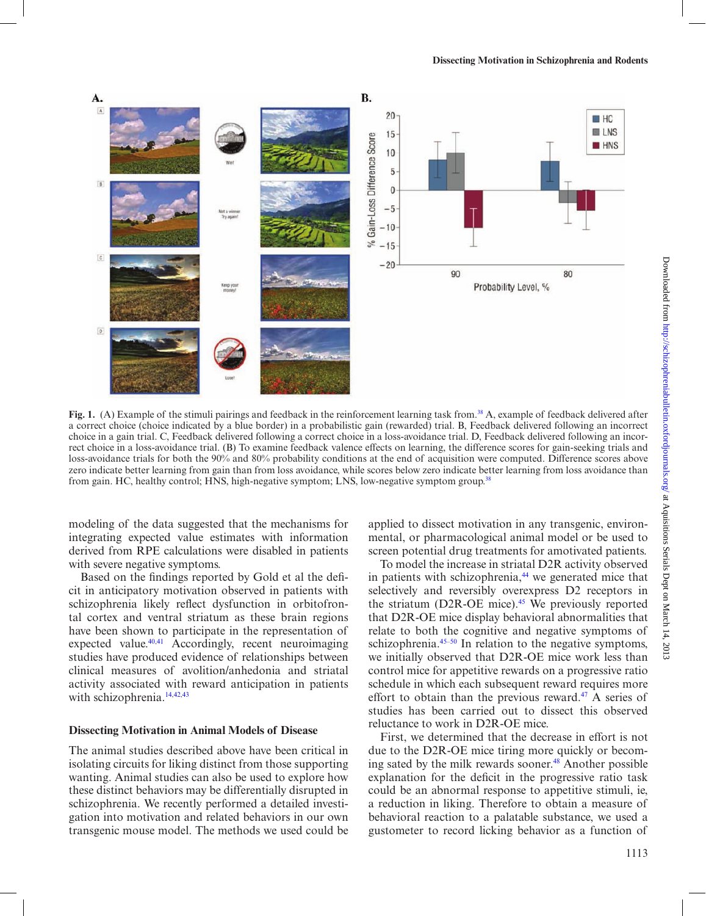

**Fig. 1.** (A) Example of the stimuli pairings and feedback in the reinforcement learning task from.<sup>38</sup> A, example of feedback delivered after a correct choice (choice indicated by a blue border) in a probabilistic gain (rewarded) trial. B, Feedback delivered following an incorrect choice in a gain trial. C, Feedback delivered following a correct choice in a loss-avoidance trial. D, Feedback delivered following an incorrect choice in a loss-avoidance trial. (B) To examine feedback valence effects on learning, the difference scores for gain-seeking trials and loss-avoidance trials for both the 90% and 80% probability conditions at the end of acquisition were computed. Difference scores above zero indicate better learning from gain than from loss avoidance, while scores below zero indicate better learning from loss avoidance than from gain. HC, healthy control; HNS, high-negative symptom; LNS, low-negative symptom group.38

modeling of the data suggested that the mechanisms for integrating expected value estimates with information derived from RPE calculations were disabled in patients with severe negative symptoms.

Based on the findings reported by Gold et al the deficit in anticipatory motivation observed in patients with schizophrenia likely reflect dysfunction in orbitofrontal cortex and ventral striatum as these brain regions have been shown to participate in the representation of expected value. $40,41$  Accordingly, recent neuroimaging studies have produced evidence of relationships between clinical measures of avolition/anhedonia and striatal activity associated with reward anticipation in patients with schizophrenia.<sup>14,42,43</sup>

#### **Dissecting Motivation in Animal Models of Disease**

The animal studies described above have been critical in isolating circuits for liking distinct from those supporting wanting. Animal studies can also be used to explore how these distinct behaviors may be differentially disrupted in schizophrenia. We recently performed a detailed investigation into motivation and related behaviors in our own transgenic mouse model. The methods we used could be applied to dissect motivation in any transgenic, environmental, or pharmacological animal model or be used to screen potential drug treatments for amotivated patients.

To model the increase in striatal D2R activity observed in patients with schizophrenia,<sup>44</sup> we generated mice that selectively and reversibly overexpress D2 receptors in the striatum ( $D2R-OE$  mice).<sup>45</sup> We previously reported that D2R-OE mice display behavioral abnormalities that relate to both the cognitive and negative symptoms of schizophrenia.<sup>45–50</sup> In relation to the negative symptoms, we initially observed that D2R-OE mice work less than control mice for appetitive rewards on a progressive ratio schedule in which each subsequent reward requires more effort to obtain than the previous reward.<sup>47</sup> A series of studies has been carried out to dissect this observed reluctance to work in D2R-OE mice.

First, we determined that the decrease in effort is not due to the D2R-OE mice tiring more quickly or becoming sated by the milk rewards sooner.<sup>48</sup> Another possible explanation for the deficit in the progressive ratio task could be an abnormal response to appetitive stimuli, ie, a reduction in liking. Therefore to obtain a measure of behavioral reaction to a palatable substance, we used a gustometer to record licking behavior as a function of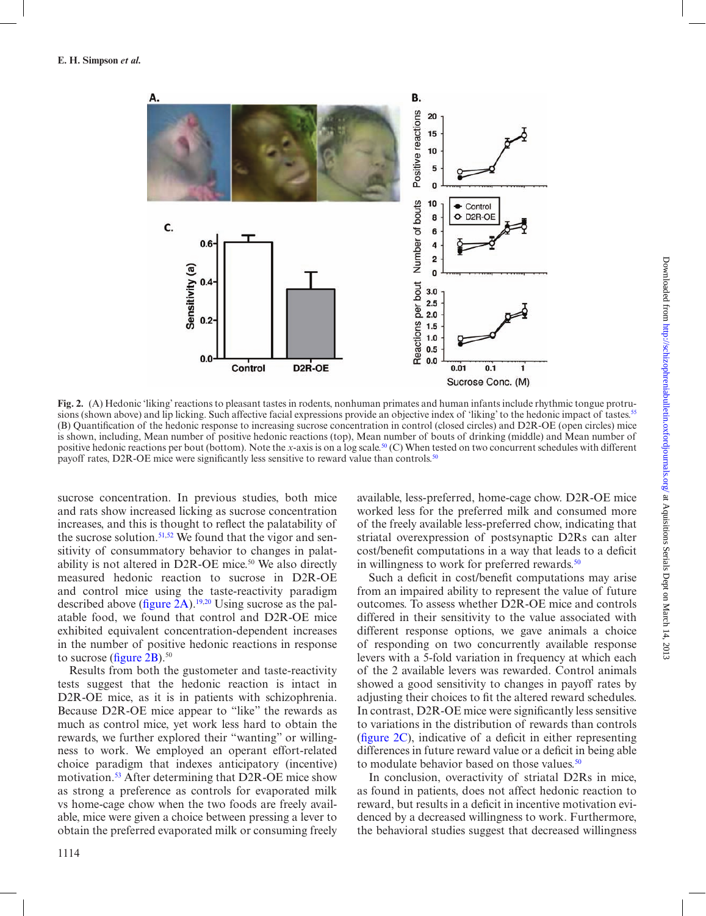

**Fig. 2.** (A) Hedonic 'liking' reactions to pleasant tastes in rodents, nonhuman primates and human infants include rhythmic tongue protrusions (shown above) and lip licking. Such affective facial expressions provide an objective index of 'liking' to the hedonic impact of tastes.<sup>55</sup> (B) Quantification of the hedonic response to increasing sucrose concentration in control (closed circles) and D2R-OE (open circles) mice is shown, including, Mean number of positive hedonic reactions (top), Mean number of bouts of drinking (middle) and Mean number of positive hedonic reactions per bout (bottom). Note the *x*-axis is on a log scale.50 (C) When tested on two concurrent schedules with different payoff rates, D2R-OE mice were significantly less sensitive to reward value than controls.<sup>50</sup>

sucrose concentration. In previous studies, both mice and rats show increased licking as sucrose concentration increases, and this is thought to reflect the palatability of the sucrose solution.<sup>51,52</sup> We found that the vigor and sensitivity of consummatory behavior to changes in palatability is not altered in  $D2R-OE$  mice.<sup>50</sup> We also directly measured hedonic reaction to sucrose in D2R-OE and control mice using the taste-reactivity paradigm described above (figure  $2A$ ).<sup>19,20</sup> Using sucrose as the palatable food, we found that control and D2R-OE mice exhibited equivalent concentration-dependent increases in the number of positive hedonic reactions in response to sucrose (figure  $2B$ ).<sup>50</sup>

Results from both the gustometer and taste-reactivity tests suggest that the hedonic reaction is intact in D2R-OE mice, as it is in patients with schizophrenia. Because D2R-OE mice appear to "like" the rewards as much as control mice, yet work less hard to obtain the rewards, we further explored their "wanting" or willingness to work. We employed an operant effort-related choice paradigm that indexes anticipatory (incentive) motivation.53 After determining that D2R-OE mice show as strong a preference as controls for evaporated milk vs home-cage chow when the two foods are freely available, mice were given a choice between pressing a lever to obtain the preferred evaporated milk or consuming freely

available, less-preferred, home-cage chow. D2R-OE mice worked less for the preferred milk and consumed more of the freely available less-preferred chow, indicating that striatal overexpression of postsynaptic D2Rs can alter cost/benefit computations in a way that leads to a deficit in willingness to work for preferred rewards. $50$ 

Such a deficit in cost/benefit computations may arise from an impaired ability to represent the value of future outcomes. To assess whether D2R-OE mice and controls differed in their sensitivity to the value associated with different response options, we gave animals a choice of responding on two concurrently available response levers with a 5-fold variation in frequency at which each of the 2 available levers was rewarded. Control animals showed a good sensitivity to changes in payoff rates by adjusting their choices to fit the altered reward schedules. In contrast, D2R-OE mice were significantly less sensitive to variations in the distribution of rewards than controls (figure 2C), indicative of a deficit in either representing differences in future reward value or a deficit in being able to modulate behavior based on those values.<sup>50</sup>

In conclusion, overactivity of striatal D2Rs in mice, as found in patients, does not affect hedonic reaction to reward, but results in a deficit in incentive motivation evidenced by a decreased willingness to work. Furthermore, the behavioral studies suggest that decreased willingness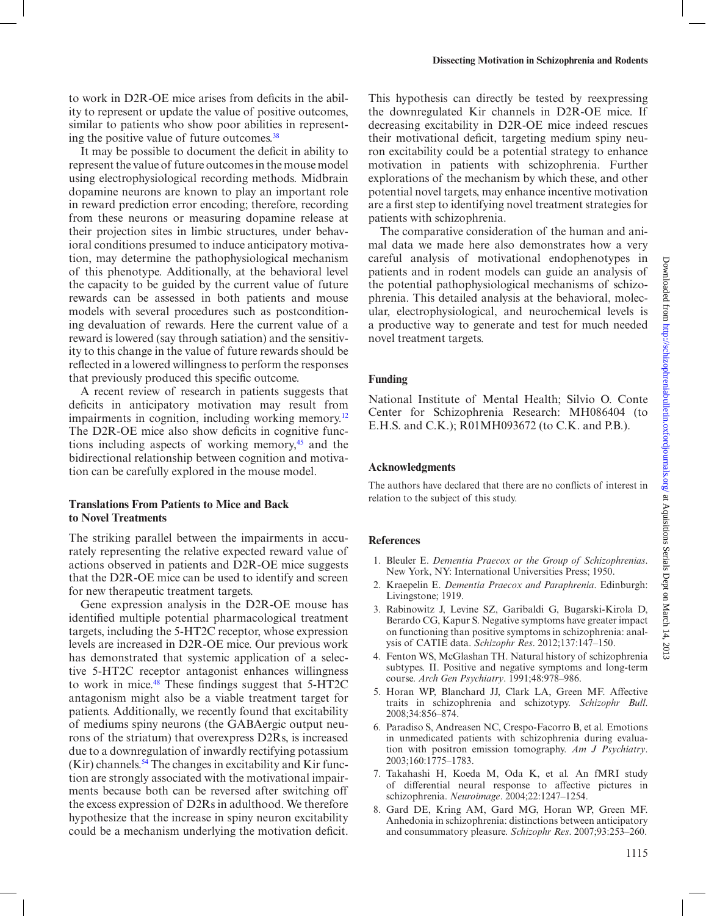to work in D2R-OE mice arises from deficits in the ability to represent or update the value of positive outcomes, similar to patients who show poor abilities in representing the positive value of future outcomes. $38$ 

It may be possible to document the deficit in ability to represent the value of future outcomes in the mouse model using electrophysiological recording methods. Midbrain dopamine neurons are known to play an important role in reward prediction error encoding; therefore, recording from these neurons or measuring dopamine release at their projection sites in limbic structures, under behavioral conditions presumed to induce anticipatory motivation, may determine the pathophysiological mechanism of this phenotype. Additionally, at the behavioral level the capacity to be guided by the current value of future rewards can be assessed in both patients and mouse models with several procedures such as postconditioning devaluation of rewards. Here the current value of a reward is lowered (say through satiation) and the sensitivity to this change in the value of future rewards should be reflected in a lowered willingness to perform the responses that previously produced this specific outcome.

A recent review of research in patients suggests that deficits in anticipatory motivation may result from impairments in cognition, including working memory.<sup>12</sup> The D2R-OE mice also show deficits in cognitive functions including aspects of working memory,<sup>45</sup> and the bidirectional relationship between cognition and motivation can be carefully explored in the mouse model.

# **Translations From Patients to Mice and Back to Novel Treatments**

The striking parallel between the impairments in accurately representing the relative expected reward value of actions observed in patients and D2R-OE mice suggests that the D2R-OE mice can be used to identify and screen for new therapeutic treatment targets.

Gene expression analysis in the D2R-OE mouse has identified multiple potential pharmacological treatment targets, including the 5-HT2C receptor, whose expression levels are increased in D2R-OE mice. Our previous work has demonstrated that systemic application of a selective 5-HT2C receptor antagonist enhances willingness to work in mice.48 These findings suggest that 5-HT2C antagonism might also be a viable treatment target for patients. Additionally, we recently found that excitability of mediums spiny neurons (the GABAergic output neurons of the striatum) that overexpress D2Rs, is increased due to a downregulation of inwardly rectifying potassium  $(Kir)$  channels.<sup>54</sup> The changes in excitability and Kir function are strongly associated with the motivational impairments because both can be reversed after switching off the excess expression of D2Rs in adulthood. We therefore hypothesize that the increase in spiny neuron excitability could be a mechanism underlying the motivation deficit.

This hypothesis can directly be tested by reexpressing the downregulated Kir channels in D2R-OE mice. If decreasing excitability in D2R-OE mice indeed rescues their motivational deficit, targeting medium spiny neuron excitability could be a potential strategy to enhance motivation in patients with schizophrenia. Further explorations of the mechanism by which these, and other potential novel targets, may enhance incentive motivation are a first step to identifying novel treatment strategies for patients with schizophrenia.

The comparative consideration of the human and animal data we made here also demonstrates how a very careful analysis of motivational endophenotypes in patients and in rodent models can guide an analysis of the potential pathophysiological mechanisms of schizophrenia. This detailed analysis at the behavioral, molecular, electrophysiological, and neurochemical levels is a productive way to generate and test for much needed novel treatment targets.

## **Funding**

National Institute of Mental Health; Silvio O. Conte Center for Schizophrenia Research: MH086404 (to E.H.S. and C.K.); R01MH093672 (to C.K. and P.B.).

### **Acknowledgments**

The authors have declared that there are no conflicts of interest in relation to the subject of this study.

# **References**

- 1. Bleuler E. *Dementia Praecox or the Group of Schizophrenias*. New York, NY: International Universities Press; 1950.
- 2. Kraepelin E. *Dementia Praecox and Paraphrenia*. Edinburgh: Livingstone; 1919.
- 3. Rabinowitz J, Levine SZ, Garibaldi G, Bugarski-Kirola D, Berardo CG, Kapur S. Negative symptoms have greater impact on functioning than positive symptoms in schizophrenia: analysis of CATIE data. *Schizophr Res*. 2012;137:147–150.
- 4. Fenton WS, McGlashan TH. Natural history of schizophrenia subtypes. II. Positive and negative symptoms and long-term course. *Arch Gen Psychiatry*. 1991;48:978–986.
- 5. Horan WP, Blanchard JJ, Clark LA, Green MF. Affective traits in schizophrenia and schizotypy. *Schizophr Bull*. 2008;34:856–874.
- 6. Paradiso S, Andreasen NC, Crespo-Facorro B, et al*.* Emotions in unmedicated patients with schizophrenia during evaluation with positron emission tomography. *Am J Psychiatry*. 2003;160:1775–1783.
- 7. Takahashi H, Koeda M, Oda K, et al*.* An fMRI study of differential neural response to affective pictures in schizophrenia. *Neuroimage*. 2004;22:1247–1254.
- 8. Gard DE, Kring AM, Gard MG, Horan WP, Green MF. Anhedonia in schizophrenia: distinctions between anticipatory and consummatory pleasure. *Schizophr Res*. 2007;93:253–260.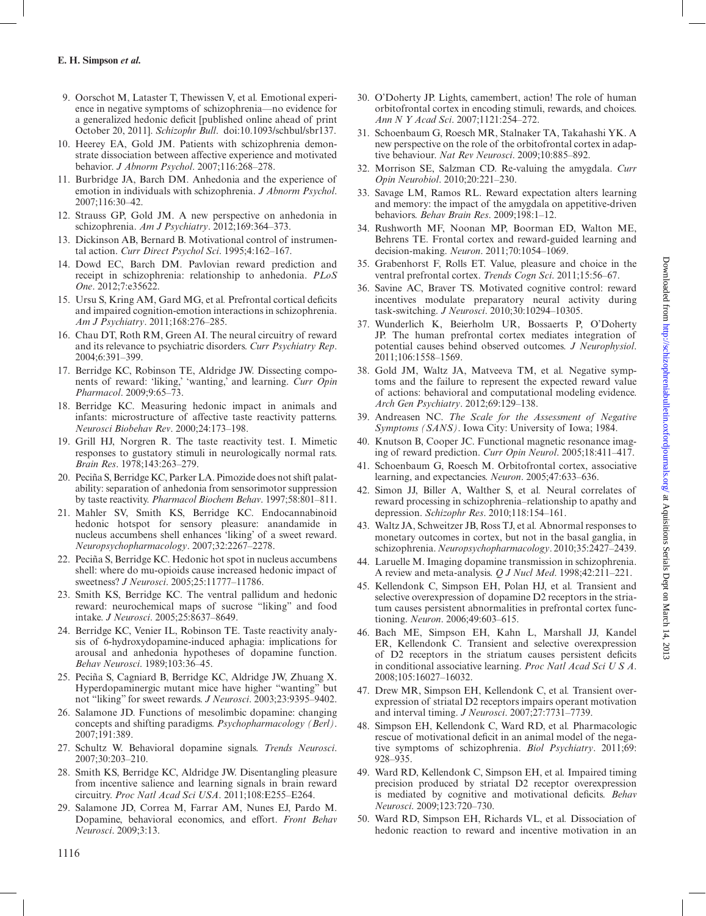- 9. Oorschot M, Lataster T, Thewissen V, et al*.* Emotional experience in negative symptoms of schizophrenia—no evidence for a generalized hedonic deficit [published online ahead of print October 20, 2011]. *Schizophr Bull*. doi:10.1093/schbul/sbr137.
- 10. Heerey EA, Gold JM. Patients with schizophrenia demonstrate dissociation between affective experience and motivated behavior. *J Abnorm Psychol*. 2007;116:268–278.
- 11. Burbridge JA, Barch DM. Anhedonia and the experience of emotion in individuals with schizophrenia. *J Abnorm Psychol*. 2007;116:30–42.
- 12. Strauss GP, Gold JM. A new perspective on anhedonia in schizophrenia. *Am J Psychiatry*. 2012;169:364–373.
- 13. Dickinson AB, Bernard B. Motivational control of instrumental action. *Curr Direct Psychol Sci*. 1995;4:162–167.
- 14. Dowd EC, Barch DM. Pavlovian reward prediction and receipt in schizophrenia: relationship to anhedonia. *PLoS One*. 2012;7:e35622.
- 15. Ursu S, Kring AM, Gard MG, et al*.* Prefrontal cortical deficits and impaired cognition-emotion interactions in schizophrenia. *Am J Psychiatry*. 2011;168:276–285.
- 16. Chau DT, Roth RM, Green AI. The neural circuitry of reward and its relevance to psychiatric disorders. *Curr Psychiatry Rep*. 2004;6:391–399.
- 17. Berridge KC, Robinson TE, Aldridge JW. Dissecting components of reward: 'liking,' 'wanting,' and learning. *Curr Opin Pharmacol*. 2009;9:65–73.
- 18. Berridge KC. Measuring hedonic impact in animals and infants: microstructure of affective taste reactivity patterns. *Neurosci Biobehav Rev*. 2000;24:173–198.
- 19. Grill HJ, Norgren R. The taste reactivity test. I. Mimetic responses to gustatory stimuli in neurologically normal rats. *Brain Res*. 1978;143:263–279.
- 20. Peciña S, Berridge KC, Parker LA. Pimozide does not shift palatability: separation of anhedonia from sensorimotor suppression by taste reactivity. *Pharmacol Biochem Behav*. 1997;58:801–811.
- 21. Mahler SV, Smith KS, Berridge KC. Endocannabinoid hedonic hotspot for sensory pleasure: anandamide in nucleus accumbens shell enhances 'liking' of a sweet reward. *Neuropsychopharmacology*. 2007;32:2267–2278.
- 22. Peciña S, Berridge KC. Hedonic hot spot in nucleus accumbens shell: where do mu-opioids cause increased hedonic impact of sweetness? *J Neurosci*. 2005;25:11777–11786.
- 23. Smith KS, Berridge KC. The ventral pallidum and hedonic reward: neurochemical maps of sucrose "liking" and food intake. *J Neurosci*. 2005;25:8637–8649.
- 24. Berridge KC, Venier IL, Robinson TE. Taste reactivity analysis of 6-hydroxydopamine-induced aphagia: implications for arousal and anhedonia hypotheses of dopamine function. *Behav Neurosci*. 1989;103:36–45.
- 25. Peciña S, Cagniard B, Berridge KC, Aldridge JW, Zhuang X. Hyperdopaminergic mutant mice have higher "wanting" but not "liking" for sweet rewards. *J Neurosci*. 2003;23:9395–9402.
- 26. Salamone JD. Functions of mesolimbic dopamine: changing concepts and shifting paradigms. *Psychopharmacology (Berl)*. 2007;191:389.
- 27. Schultz W. Behavioral dopamine signals. *Trends Neurosci*. 2007;30:203–210.
- 28. Smith KS, Berridge KC, Aldridge JW. Disentangling pleasure from incentive salience and learning signals in brain reward circuitry. *Proc Natl Acad Sci USA*. 2011;108:E255–E264.
- 29. Salamone JD, Correa M, Farrar AM, Nunes EJ, Pardo M. Dopamine, behavioral economics, and effort. *Front Behav Neurosci*. 2009;3:13.
- 30. O'Doherty JP. Lights, camembert, action! The role of human orbitofrontal cortex in encoding stimuli, rewards, and choices. *Ann N Y Acad Sci*. 2007;1121:254–272.
- 31. Schoenbaum G, Roesch MR, Stalnaker TA, Takahashi YK. A new perspective on the role of the orbitofrontal cortex in adaptive behaviour. *Nat Rev Neurosci*. 2009;10:885–892.
- 32. Morrison SE, Salzman CD. Re-valuing the amygdala. *Curr Opin Neurobiol*. 2010;20:221–230.
- 33. Savage LM, Ramos RL. Reward expectation alters learning and memory: the impact of the amygdala on appetitive-driven behaviors. *Behav Brain Res*. 2009;198:1–12.
- 34. Rushworth MF, Noonan MP, Boorman ED, Walton ME, Behrens TE. Frontal cortex and reward-guided learning and decision-making. *Neuron*. 2011;70:1054–1069.
- 35. Grabenhorst F, Rolls ET. Value, pleasure and choice in the ventral prefrontal cortex. *Trends Cogn Sci*. 2011;15:56–67.
- 36. Savine AC, Braver TS. Motivated cognitive control: reward incentives modulate preparatory neural activity during task-switching. *J Neurosci*. 2010;30:10294–10305.
- 37. Wunderlich K, Beierholm UR, Bossaerts P, O'Doherty JP. The human prefrontal cortex mediates integration of potential causes behind observed outcomes. *J Neurophysiol*. 2011;106:1558–1569.
- 38. Gold JM, Waltz JA, Matveeva TM, et al*.* Negative symptoms and the failure to represent the expected reward value of actions: behavioral and computational modeling evidence. *Arch Gen Psychiatry*. 2012;69:129–138.
- 39. Andreasen NC. *The Scale for the Assessment of Negative Symptoms (SANS)*. Iowa City: University of Iowa; 1984.
- 40. Knutson B, Cooper JC. Functional magnetic resonance imaging of reward prediction. *Curr Opin Neurol*. 2005;18:411–417.
- 41. Schoenbaum G, Roesch M. Orbitofrontal cortex, associative learning, and expectancies. *Neuron*. 2005;47:633–636.
- 42. Simon JJ, Biller A, Walther S, et al*.* Neural correlates of reward processing in schizophrenia–relationship to apathy and depression. *Schizophr Res*. 2010;118:154–161.
- 43. Waltz JA, Schweitzer JB, Ross TJ, et al*.* Abnormal responses to monetary outcomes in cortex, but not in the basal ganglia, in schizophrenia. *Neuropsychopharmacology*. 2010;35:2427–2439.
- 44. Laruelle M. Imaging dopamine transmission in schizophrenia. A review and meta-analysis. *Q J Nucl Med*. 1998;42:211–221.
- 45. Kellendonk C, Simpson EH, Polan HJ, et al*.* Transient and selective overexpression of dopamine D2 receptors in the striatum causes persistent abnormalities in prefrontal cortex functioning. *Neuron*. 2006;49:603–615.
- 46. Bach ME, Simpson EH, Kahn L, Marshall JJ, Kandel ER, Kellendonk C. Transient and selective overexpression of D2 receptors in the striatum causes persistent deficits in conditional associative learning. *Proc Natl Acad Sci U S A*. 2008;105:16027–16032.
- 47. Drew MR, Simpson EH, Kellendonk C, et al*.* Transient overexpression of striatal D2 receptors impairs operant motivation and interval timing. *J Neurosci*. 2007;27:7731–7739.
- 48. Simpson EH, Kellendonk C, Ward RD, et al*.* Pharmacologic rescue of motivational deficit in an animal model of the negative symptoms of schizophrenia. *Biol Psychiatry*. 2011;69: 928–935.
- 49. Ward RD, Kellendonk C, Simpson EH, et al*.* Impaired timing precision produced by striatal D2 receptor overexpression is mediated by cognitive and motivational deficits. *Behav Neurosci*. 2009;123:720–730.
- 50. Ward RD, Simpson EH, Richards VL, et al*.* Dissociation of hedonic reaction to reward and incentive motivation in an